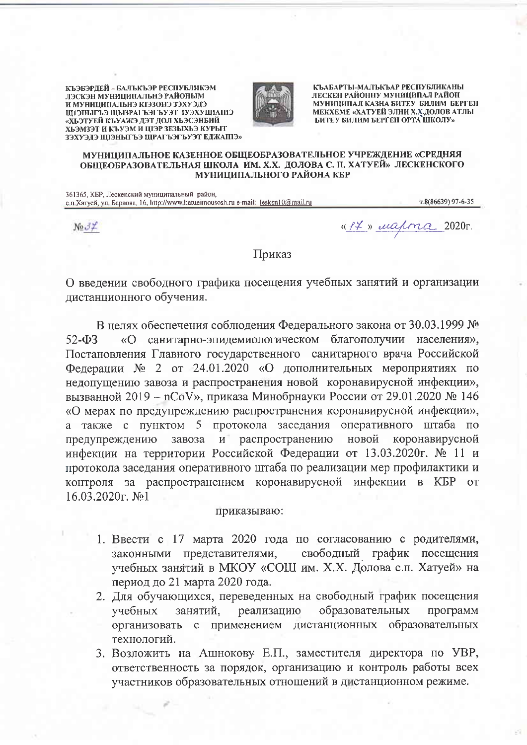КЪЭБЭРЛЕЙ – БАЛЪКЪЭР РЕСПУБЛИКЭМ ЛЭСКЭН МУНИЦИПАЛЬНЭ РАЙОНЫМ И МУНИЦИПАЛЬНЭ КІЭЗОНЭ ЗЭХУЭДЭ ШІЭНЫГЬЭ ШЫЗРАГЬЭГЬУЭТ ІУЭХУЩІАПІЭ «ХЬЭТУЕЙ КЪУАЖЭ ДЭТ ДОЛ ХЬЭСЭНБИЙ ХЬЭМЗЭТ И КЪУЭМ И ЦІЭР ЗЕЗЫХЬЭ КУРЫТ ЗЭХУЭДЭ ЩІЭНЫГЪЭ ЩРАГЪЭГЬУЭТ ЕДЖАПІЭ»



КЪАБАРТЫ-МАЛЪКЪАР РЕСПУБЛИКАНЫ ЛЕСКЕН РАЙОННУ МУНИЦИПАЛ РАЙОН МУНИЦИПАЛ КАЗНА БИТЕУ БИЛИМ БЕРГЕН МЕКХЕМЕ «ХАТУЕЙ ЭЛНИ Х.Х. ДОЛОВ АТЛЫ БИТЕУ БИЛИМ БЕРГЕН ОРТА ШКОЛУ»

## МУНИЦИПАЛЬНОЕ КАЗЕННОЕ ОБЩЕОБРАЗОВАТЕЛЬНОЕ УЧРЕЖДЕНИЕ «СРЕДНЯЯ ОБШЕОБРАЗОВАТЕЛЬНАЯ ШКОЛА ИМ. Х.Х. ДОЛОВА С. П. ХАТУЕЙ» ЛЕСКЕНСКОГО МУНИЦИПАЛЬНОГО РАЙОНА КБР

361365, КБР, Лескенский муниципальный район, с п. Хатуей, ул. Бараова, 16, http://www.hatueimousosh.ru e-mail: lesken10@mail.ru T.8(86639) 97-6-35

 $N_2 J \nightharpoonup$ 

«It » mapma 2020r.

## Приказ

О введении свободного графика посещения учебных занятий и организации дистанционного обучения.

В нелях обеспечения соблюдения Федерального закона от 30.03.1999 № «О санитарно-эпидемиологическом благополучии населения»,  $52 - \Phi$ 3 Постановления Главного государственного санитарного врача Российской Федерации № 2 от 24.01.2020 «О дополнительных мероприятиях по недопущению завоза и распространения новой коронавирусной инфекции». вызванной 2019 - nCoV», приказа Минобрнауки России от 29.01.2020 № 146 «О мерах по предупреждению распространения коронавирусной инфекции». а также с пунктом 5 протокола заседания оперативного штаба по завоза распространению новой предупреждению  $M$ коронавирусной инфекции на территории Российской Федерации от 13.03.2020г. № 11 и протокола заседания оперативного штаба по реализации мер профилактики и контроля за распространением коронавирусной инфекции в КБР от 16.03.2020г. №1

## приказываю:

- 1. Ввести с 17 марта 2020 года по согласованию с родителями, свободный график посещения законными представителями, учебных занятий в МКОУ «СОШ им. Х.Х. Долова с.п. Хатуей» на период до 21 марта 2020 года.
- 2. Для обучающихся, переведенных на свободный график посещения учебных занятий, реализацию образовательных программ дистанционных образовательных организовать с применением технологий.
- 3. Возложить на Ашнокову Е.П., заместителя директора по УВР, ответственность за порядок, организацию и контроль работы всех участников образовательных отношений в дистанционном режиме.